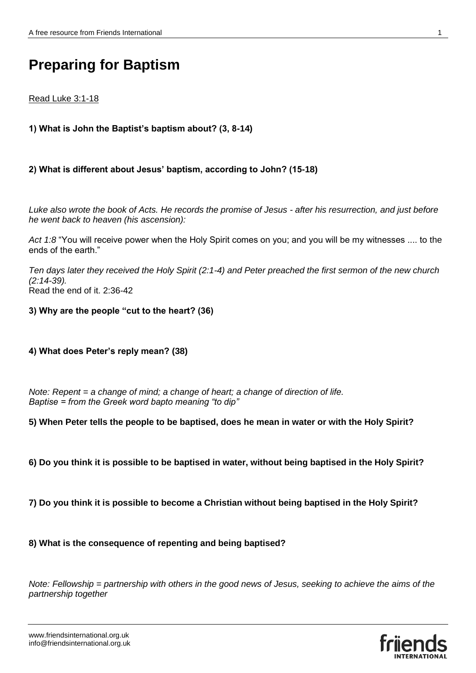# **Preparing for Baptism**

# Read Luke 3:1-18

# **1) What is John the Baptist's baptism about? (3, 8-14)**

## **2) What is different about Jesus' baptism, according to John? (15-18)**

*Luke also wrote the book of Acts. He records the promise of Jesus - after his resurrection, and just before he went back to heaven (his ascension):*

*Act 1:8* "You will receive power when the Holy Spirit comes on you; and you will be my witnesses .... to the ends of the earth."

*Ten days later they received the Holy Spirit (2:1-4) and Peter preached the first sermon of the new church (2:14-39).*  Read the end of it. 2:36-42

**3) Why are the people "cut to the heart? (36)**

## **4) What does Peter's reply mean? (38)**

*Note: Repent = a change of mind; a change of heart; a change of direction of life. Baptise = from the Greek word bapto meaning "to dip"*

**5) When Peter tells the people to be baptised, does he mean in water or with the Holy Spirit?**

- **6) Do you think it is possible to be baptised in water, without being baptised in the Holy Spirit?**
- **7) Do you think it is possible to become a Christian without being baptised in the Holy Spirit?**

## **8) What is the consequence of repenting and being baptised?**

*Note: Fellowship = partnership with others in the good news of Jesus, seeking to achieve the aims of the partnership together*